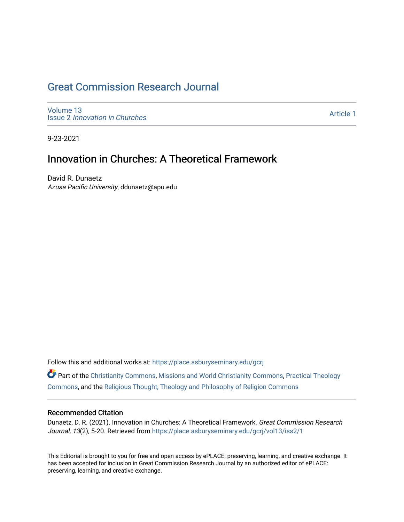## [Great Commission Research Journal](https://place.asburyseminary.edu/gcrj)

[Volume 13](https://place.asburyseminary.edu/gcrj/vol13) Issue 2 [Innovation in Churches](https://place.asburyseminary.edu/gcrj/vol13/iss2)

[Article 1](https://place.asburyseminary.edu/gcrj/vol13/iss2/1) 

9-23-2021

## Innovation in Churches: A Theoretical Framework

David R. Dunaetz Azusa Pacific University, ddunaetz@apu.edu

Follow this and additional works at: [https://place.asburyseminary.edu/gcrj](https://place.asburyseminary.edu/gcrj?utm_source=place.asburyseminary.edu%2Fgcrj%2Fvol13%2Fiss2%2F1&utm_medium=PDF&utm_campaign=PDFCoverPages) 

Part of the [Christianity Commons,](http://network.bepress.com/hgg/discipline/1181?utm_source=place.asburyseminary.edu%2Fgcrj%2Fvol13%2Fiss2%2F1&utm_medium=PDF&utm_campaign=PDFCoverPages) [Missions and World Christianity Commons](http://network.bepress.com/hgg/discipline/1187?utm_source=place.asburyseminary.edu%2Fgcrj%2Fvol13%2Fiss2%2F1&utm_medium=PDF&utm_campaign=PDFCoverPages), [Practical Theology](http://network.bepress.com/hgg/discipline/1186?utm_source=place.asburyseminary.edu%2Fgcrj%2Fvol13%2Fiss2%2F1&utm_medium=PDF&utm_campaign=PDFCoverPages)  [Commons](http://network.bepress.com/hgg/discipline/1186?utm_source=place.asburyseminary.edu%2Fgcrj%2Fvol13%2Fiss2%2F1&utm_medium=PDF&utm_campaign=PDFCoverPages), and the [Religious Thought, Theology and Philosophy of Religion Commons](http://network.bepress.com/hgg/discipline/544?utm_source=place.asburyseminary.edu%2Fgcrj%2Fvol13%2Fiss2%2F1&utm_medium=PDF&utm_campaign=PDFCoverPages) 

#### Recommended Citation

Dunaetz, D. R. (2021). Innovation in Churches: A Theoretical Framework. Great Commission Research Journal, 13(2), 5-20. Retrieved from [https://place.asburyseminary.edu/gcrj/vol13/iss2/1](https://place.asburyseminary.edu/gcrj/vol13/iss2/1?utm_source=place.asburyseminary.edu%2Fgcrj%2Fvol13%2Fiss2%2F1&utm_medium=PDF&utm_campaign=PDFCoverPages) 

This Editorial is brought to you for free and open access by ePLACE: preserving, learning, and creative exchange. It has been accepted for inclusion in Great Commission Research Journal by an authorized editor of ePLACE: preserving, learning, and creative exchange.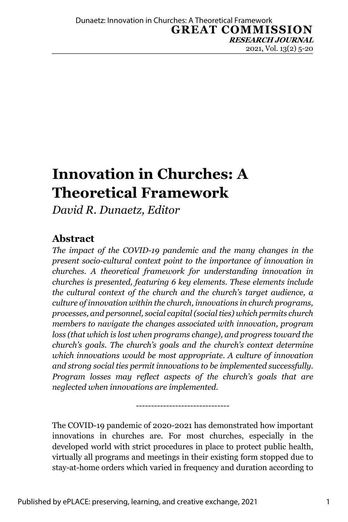# **Innovation in Churches: A Theoretical Framework**

*David R. Dunaetz, Editor*

### **Abstract**

*The impact of the COVID-19 pandemic and the many changes in the present socio-cultural context point to the importance of innovation in churches. A theoretical framework for understanding innovation in churches is presented, featuring 6 key elements. These elements include the cultural context of the church and the church's target audience, a culture of innovation within the church, innovations in church programs, processes, and personnel, social capital (social ties) which permits church members to navigate the changes associated with innovation, program loss (that which is lost when programs change), and progress toward the church's goals. The church's goals and the church's context determine which innovations would be most appropriate. A culture of innovation and strong social ties permit innovations to be implemented successfully. Program losses may reflect aspects of the church's goals that are neglected when innovations are implemented.* 

The COVID-19 pandemic of 2020-2021 has demonstrated how important innovations in churches are. For most churches, especially in the developed world with strict procedures in place to protect public health, virtually all programs and meetings in their existing form stopped due to stay-at-home orders which varied in frequency and duration according to

-------------------------------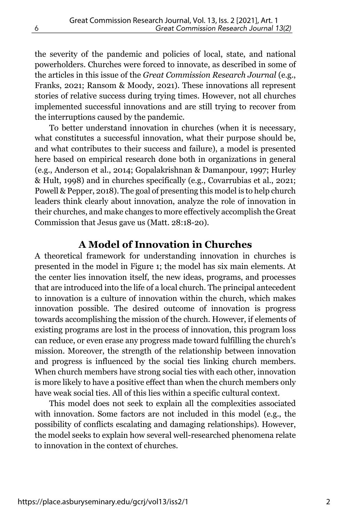the severity of the pandemic and policies of local, state, and national powerholders. Churches were forced to innovate, as described in some of the articles in this issue of the *Great Commission Research Journal* (e.g., Franks, 2021; Ransom & Moody, 2021). These innovations all represent stories of relative success during trying times. However, not all churches implemented successful innovations and are still trying to recover from the interruptions caused by the pandemic.

To better understand innovation in churches (when it is necessary, what constitutes a successful innovation, what their purpose should be, and what contributes to their success and failure), a model is presented here based on empirical research done both in organizations in general (e.g., Anderson et al., 2014; Gopalakrishnan & Damanpour, 1997; Hurley & Hult, 1998) and in churches specifically (e.g., Covarrubias et al., 2021; Powell & Pepper, 2018). The goal of presenting this model is to help church leaders think clearly about innovation, analyze the role of innovation in their churches, and make changes to more effectively accomplish the Great Commission that Jesus gave us (Matt. 28:18-20).

#### **A Model of Innovation in Churches**

A theoretical framework for understanding innovation in churches is presented in the model in Figure 1; the model has six main elements. At the center lies innovation itself, the new ideas, programs, and processes that are introduced into the life of a local church. The principal antecedent to innovation is a culture of innovation within the church, which makes innovation possible. The desired outcome of innovation is progress towards accomplishing the mission of the church. However, if elements of existing programs are lost in the process of innovation, this program loss can reduce, or even erase any progress made toward fulfilling the church's mission. Moreover, the strength of the relationship between innovation and progress is influenced by the social ties linking church members. When church members have strong social ties with each other, innovation is more likely to have a positive effect than when the church members only have weak social ties. All of this lies within a specific cultural context.

This model does not seek to explain all the complexities associated with innovation. Some factors are not included in this model (e.g., the possibility of conflicts escalating and damaging relationships). However, the model seeks to explain how several well-researched phenomena relate to innovation in the context of churches.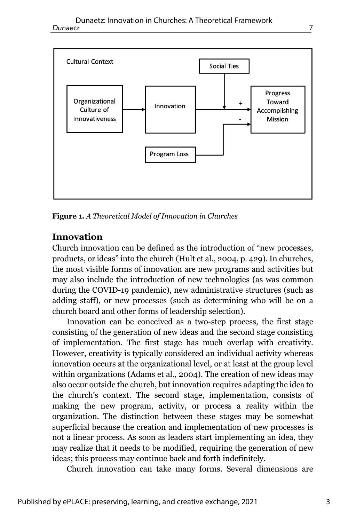

**Figure 1.** *A Theoretical Model of Innovation in Churches*

#### **Innovation**

Church innovation can be defined as the introduction of "new processes, products, or ideas" into the church (Hult et al., 2004, p. 429). In churches, the most visible forms of innovation are new programs and activities but may also include the introduction of new technologies (as was common during the COVID-19 pandemic), new administrative structures (such as adding staff), or new processes (such as determining who will be on a church board and other forms of leadership selection).

Innovation can be conceived as a two-step process, the first stage consisting of the generation of new ideas and the second stage consisting of implementation. The first stage has much overlap with creativity. However, creativity is typically considered an individual activity whereas innovation occurs at the organizational level, or at least at the group level within organizations (Adams et al., 2004). The creation of new ideas may also occur outside the church, but innovation requires adapting the idea to the church's context. The second stage, implementation, consists of making the new program, activity, or process a reality within the organization. The distinction between these stages may be somewhat superficial because the creation and implementation of new processes is not a linear process. As soon as leaders start implementing an idea, they may realize that it needs to be modified, requiring the generation of new ideas; this process may continue back and forth indefinitely.

Church innovation can take many forms. Several dimensions are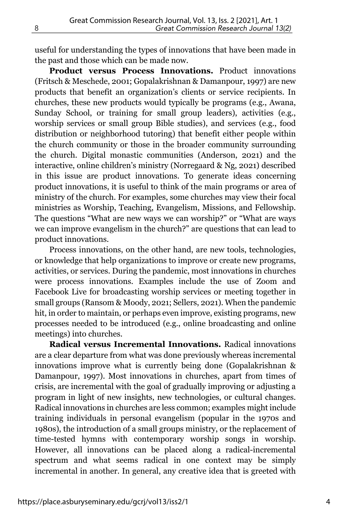useful for understanding the types of innovations that have been made in the past and those which can be made now.

**Product versus Process Innovations.** Product innovations (Fritsch & Meschede, 2001; Gopalakrishnan & Damanpour, 1997) are new products that benefit an organization's clients or service recipients. In churches, these new products would typically be programs (e.g., Awana, Sunday School, or training for small group leaders), activities (e.g., worship services or small group Bible studies), and services (e.g., food distribution or neighborhood tutoring) that benefit either people within the church community or those in the broader community surrounding the church. Digital monastic communities (Anderson, 2021) and the interactive, online children's ministry (Norregaard & Ng, 2021) described in this issue are product innovations. To generate ideas concerning product innovations, it is useful to think of the main programs or area of ministry of the church. For examples, some churches may view their focal ministries as Worship, Teaching, Evangelism, Missions, and Fellowship. The questions "What are new ways we can worship?" or "What are ways we can improve evangelism in the church?" are questions that can lead to product innovations.

Process innovations, on the other hand, are new tools, technologies, or knowledge that help organizations to improve or create new programs, activities, or services. During the pandemic, most innovations in churches were process innovations. Examples include the use of Zoom and Facebook Live for broadcasting worship services or meeting together in small groups (Ransom & Moody, 2021; Sellers, 2021). When the pandemic hit, in order to maintain, or perhaps even improve, existing programs, new processes needed to be introduced (e.g., online broadcasting and online meetings) into churches.

**Radical versus Incremental Innovations.** Radical innovations are a clear departure from what was done previously whereas incremental innovations improve what is currently being done (Gopalakrishnan & Damanpour, 1997). Most innovations in churches, apart from times of crisis, are incremental with the goal of gradually improving or adjusting a program in light of new insights, new technologies, or cultural changes. Radical innovations in churches are less common; examples might include training individuals in personal evangelism (popular in the 1970s and 1980s), the introduction of a small groups ministry, or the replacement of time-tested hymns with contemporary worship songs in worship. However, all innovations can be placed along a radical-incremental spectrum and what seems radical in one context may be simply incremental in another. In general, any creative idea that is greeted with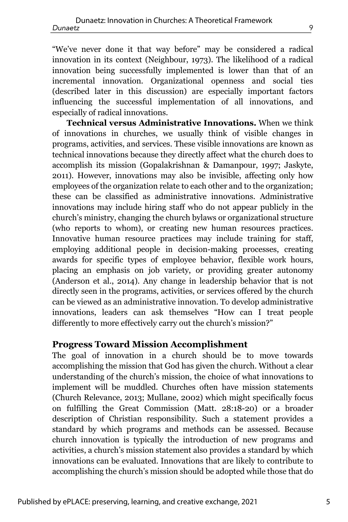"We've never done it that way before" may be considered a radical innovation in its context (Neighbour, 1973). The likelihood of a radical innovation being successfully implemented is lower than that of an incremental innovation. Organizational openness and social ties (described later in this discussion) are especially important factors influencing the successful implementation of all innovations, and especially of radical innovations.

**Technical versus Administrative Innovations.** When we think of innovations in churches, we usually think of visible changes in programs, activities, and services. These visible innovations are known as technical innovations because they directly affect what the church does to accomplish its mission (Gopalakrishnan & Damanpour, 1997; Jaskyte, 2011). However, innovations may also be invisible, affecting only how employees of the organization relate to each other and to the organization; these can be classified as administrative innovations. Administrative innovations may include hiring staff who do not appear publicly in the church's ministry, changing the church bylaws or organizational structure (who reports to whom), or creating new human resources practices. Innovative human resource practices may include training for staff, employing additional people in decision-making processes, creating awards for specific types of employee behavior, flexible work hours, placing an emphasis on job variety, or providing greater autonomy (Anderson et al., 2014). Any change in leadership behavior that is not directly seen in the programs, activities, or services offered by the church can be viewed as an administrative innovation. To develop administrative innovations, leaders can ask themselves "How can I treat people differently to more effectively carry out the church's mission?"

#### **Progress Toward Mission Accomplishment**

The goal of innovation in a church should be to move towards accomplishing the mission that God has given the church. Without a clear understanding of the church's mission, the choice of what innovations to implement will be muddled. Churches often have mission statements (Church Relevance, 2013; Mullane, 2002) which might specifically focus on fulfilling the Great Commission (Matt. 28:18-20) or a broader description of Christian responsibility. Such a statement provides a standard by which programs and methods can be assessed. Because church innovation is typically the introduction of new programs and activities, a church's mission statement also provides a standard by which innovations can be evaluated. Innovations that are likely to contribute to accomplishing the church's mission should be adopted while those that do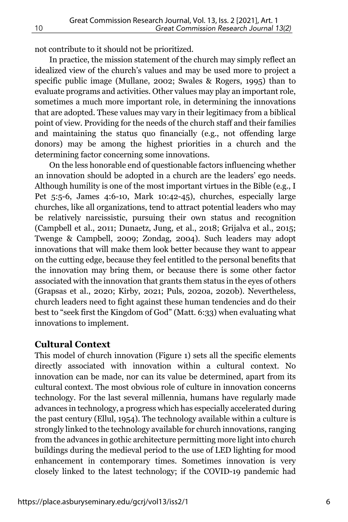not contribute to it should not be prioritized.

In practice, the mission statement of the church may simply reflect an idealized view of the church's values and may be used more to project a specific public image (Mullane, 2002; Swales & Rogers, 1995) than to evaluate programs and activities. Other values may play an important role, sometimes a much more important role, in determining the innovations that are adopted. These values may vary in their legitimacy from a biblical point of view. Providing for the needs of the church staff and their families and maintaining the status quo financially (e.g., not offending large donors) may be among the highest priorities in a church and the determining factor concerning some innovations.

On the less honorable end of questionable factors influencing whether an innovation should be adopted in a church are the leaders' ego needs. Although humility is one of the most important virtues in the Bible (e.g., I Pet 5:5-6, James 4:6-10, Mark 10:42-45), churches, especially large churches, like all organizations, tend to attract potential leaders who may be relatively narcissistic, pursuing their own status and recognition (Campbell et al., 2011; Dunaetz, Jung, et al., 2018; Grijalva et al., 2015; Twenge & Campbell, 2009; Zondag, 2004). Such leaders may adopt innovations that will make them look better because they want to appear on the cutting edge, because they feel entitled to the personal benefits that the innovation may bring them, or because there is some other factor associated with the innovation that grants them status in the eyes of others (Grapsas et al., 2020; Kirby, 2021; Puls, 2020a, 2020b). Nevertheless, church leaders need to fight against these human tendencies and do their best to "seek first the Kingdom of God" (Matt. 6:33) when evaluating what innovations to implement.

#### **Cultural Context**

This model of church innovation (Figure 1) sets all the specific elements directly associated with innovation within a cultural context. No innovation can be made, nor can its value be determined, apart from its cultural context. The most obvious role of culture in innovation concerns technology. For the last several millennia, humans have regularly made advances in technology, a progress which has especially accelerated during the past century (Ellul, 1954). The technology available within a culture is strongly linked to the technology available for church innovations, ranging from the advances in gothic architecture permitting more light into church buildings during the medieval period to the use of LED lighting for mood enhancement in contemporary times. Sometimes innovation is very closely linked to the latest technology; if the COVID-19 pandemic had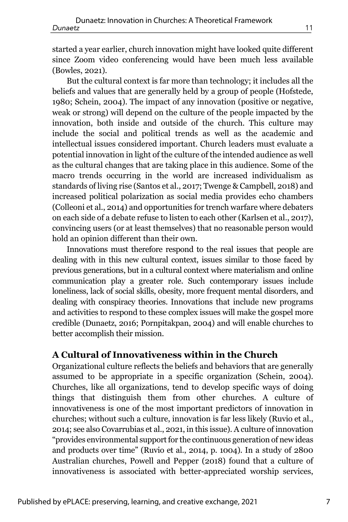started a year earlier, church innovation might have looked quite different since Zoom video conferencing would have been much less available (Bowles, 2021).

But the cultural context is far more than technology; it includes all the beliefs and values that are generally held by a group of people (Hofstede, 1980; Schein, 2004). The impact of any innovation (positive or negative, weak or strong) will depend on the culture of the people impacted by the innovation, both inside and outside of the church. This culture may include the social and political trends as well as the academic and intellectual issues considered important. Church leaders must evaluate a potential innovation in light of the culture of the intended audience as well as the cultural changes that are taking place in this audience. Some of the macro trends occurring in the world are increased individualism as standards of living rise (Santos et al., 2017; Twenge & Campbell, 2018) and increased political polarization as social media provides echo chambers (Colleoni et al., 2014) and opportunities for trench warfare where debaters on each side of a debate refuse to listen to each other (Karlsen et al., 2017), convincing users (or at least themselves) that no reasonable person would hold an opinion different than their own.

Innovations must therefore respond to the real issues that people are dealing with in this new cultural context, issues similar to those faced by previous generations, but in a cultural context where materialism and online communication play a greater role. Such contemporary issues include loneliness, lack of social skills, obesity, more frequent mental disorders, and dealing with conspiracy theories. Innovations that include new programs and activities to respond to these complex issues will make the gospel more credible (Dunaetz, 2016; Pornpitakpan, 2004) and will enable churches to better accomplish their mission.

#### **A Cultural of Innovativeness within in the Church**

Organizational culture reflects the beliefs and behaviors that are generally assumed to be appropriate in a specific organization (Schein, 2004). Churches, like all organizations, tend to develop specific ways of doing things that distinguish them from other churches. A culture of innovativeness is one of the most important predictors of innovation in churches; without such a culture, innovation is far less likely (Ruvio et al., 2014; see also Covarrubias et al., 2021, in this issue). A culture of innovation "provides environmental support for the continuous generation of new ideas and products over time" (Ruvio et al., 2014, p. 1004). In a study of 2800 Australian churches, Powell and Pepper (2018) found that a culture of innovativeness is associated with better-appreciated worship services,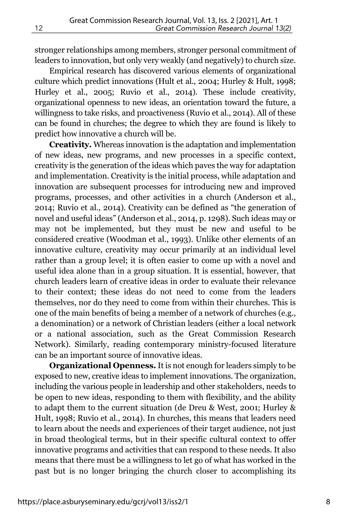stronger relationships among members, stronger personal commitment of leaders to innovation, but only very weakly (and negatively) to church size.

Empirical research has discovered various elements of organizational culture which predict innovations (Hult et al., 2004; Hurley & Hult, 1998; Hurley et al., 2005; Ruvio et al., 2014). These include creativity, organizational openness to new ideas, an orientation toward the future, a willingness to take risks, and proactiveness (Ruvio et al., 2014). All of these can be found in churches; the degree to which they are found is likely to predict how innovative a church will be.

**Creativity.** Whereas innovation is the adaptation and implementation of new ideas, new programs, and new processes in a specific context, creativity is the generation of the ideas which paves the way for adaptation and implementation. Creativity is the initial process, while adaptation and innovation are subsequent processes for introducing new and improved programs, processes, and other activities in a church (Anderson et al., 2014; Ruvio et al., 2014). Creativity can be defined as "the generation of novel and useful ideas" (Anderson et al., 2014, p. 1298). Such ideas may or may not be implemented, but they must be new and useful to be considered creative (Woodman et al., 1993). Unlike other elements of an innovative culture, creativity may occur primarily at an individual level rather than a group level; it is often easier to come up with a novel and useful idea alone than in a group situation. It is essential, however, that church leaders learn of creative ideas in order to evaluate their relevance to their context; these ideas do not need to come from the leaders themselves, nor do they need to come from within their churches. This is one of the main benefits of being a member of a network of churches (e.g., a denomination) or a network of Christian leaders (either a local network or a national association, such as the Great Commission Research Network). Similarly, reading contemporary ministry-focused literature can be an important source of innovative ideas.

**Organizational Openness.** It is not enough for leaders simply to be exposed to new, creative ideas to implement innovations. The organization, including the various people in leadership and other stakeholders, needs to be open to new ideas, responding to them with flexibility, and the ability to adapt them to the current situation (de Dreu & West, 2001; Hurley & Hult, 1998; Ruvio et al., 2014). In churches, this means that leaders need to learn about the needs and experiences of their target audience, not just in broad theological terms, but in their specific cultural context to offer innovative programs and activities that can respond to these needs. It also means that there must be a willingness to let go of what has worked in the past but is no longer bringing the church closer to accomplishing its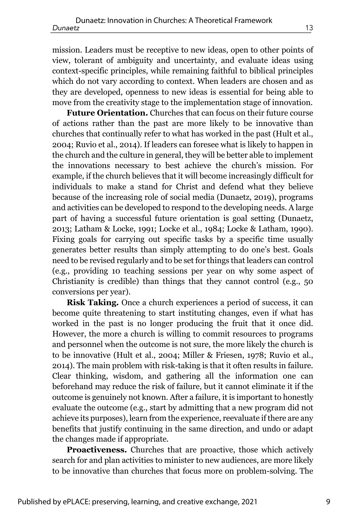mission. Leaders must be receptive to new ideas, open to other points of view, tolerant of ambiguity and uncertainty, and evaluate ideas using context-specific principles, while remaining faithful to biblical principles which do not vary according to context. When leaders are chosen and as they are developed, openness to new ideas is essential for being able to move from the creativity stage to the implementation stage of innovation.

**Future Orientation.** Churches that can focus on their future course of actions rather than the past are more likely to be innovative than churches that continually refer to what has worked in the past (Hult et al., 2004; Ruvio et al., 2014). If leaders can foresee what is likely to happen in the church and the culture in general, they will be better able to implement the innovations necessary to best achieve the church's mission. For example, if the church believes that it will become increasingly difficult for individuals to make a stand for Christ and defend what they believe because of the increasing role of social media (Dunaetz, 2019), programs and activities can be developed to respond to the developing needs. A large part of having a successful future orientation is goal setting (Dunaetz, 2013; Latham & Locke, 1991; Locke et al., 1984; Locke & Latham, 1990). Fixing goals for carrying out specific tasks by a specific time usually generates better results than simply attempting to do one's best. Goals need to be revised regularly and to be set for things that leaders can control (e.g., providing 10 teaching sessions per year on why some aspect of Christianity is credible) than things that they cannot control (e.g., 50 conversions per year).

**Risk Taking.** Once a church experiences a period of success, it can become quite threatening to start instituting changes, even if what has worked in the past is no longer producing the fruit that it once did. However, the more a church is willing to commit resources to programs and personnel when the outcome is not sure, the more likely the church is to be innovative (Hult et al., 2004; Miller & Friesen, 1978; Ruvio et al., 2014). The main problem with risk-taking is that it often results in failure. Clear thinking, wisdom, and gathering all the information one can beforehand may reduce the risk of failure, but it cannot eliminate it if the outcome is genuinely not known. After a failure, it is important to honestly evaluate the outcome (e.g., start by admitting that a new program did not achieve its purposes), learn from the experience, reevaluate if there are any benefits that justify continuing in the same direction, and undo or adapt the changes made if appropriate.

**Proactiveness.** Churches that are proactive, those which actively search for and plan activities to minister to new audiences, are more likely to be innovative than churches that focus more on problem-solving. The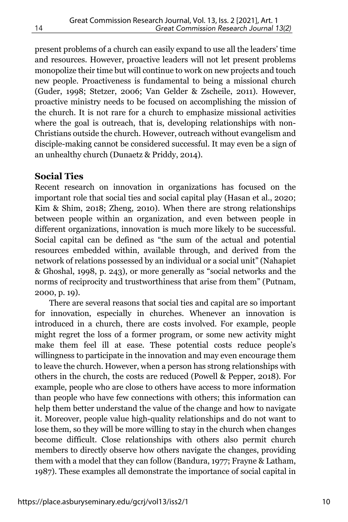present problems of a church can easily expand to use all the leaders' time and resources. However, proactive leaders will not let present problems monopolize their time but will continue to work on new projects and touch new people. Proactiveness is fundamental to being a missional church (Guder, 1998; Stetzer, 2006; Van Gelder & Zscheile, 2011). However, proactive ministry needs to be focused on accomplishing the mission of the church. It is not rare for a church to emphasize missional activities where the goal is outreach, that is, developing relationships with non-Christians outside the church. However, outreach without evangelism and disciple-making cannot be considered successful. It may even be a sign of an unhealthy church (Dunaetz & Priddy, 2014).

#### **Social Ties**

Recent research on innovation in organizations has focused on the important role that social ties and social capital play (Hasan et al., 2020; Kim & Shim, 2018; Zheng, 2010). When there are strong relationships between people within an organization, and even between people in different organizations, innovation is much more likely to be successful. Social capital can be defined as "the sum of the actual and potential resources embedded within, available through, and derived from the network of relations possessed by an individual or a social unit" (Nahapiet & Ghoshal, 1998, p. 243), or more generally as "social networks and the norms of reciprocity and trustworthiness that arise from them" (Putnam, 2000, p. 19).

There are several reasons that social ties and capital are so important for innovation, especially in churches. Whenever an innovation is introduced in a church, there are costs involved. For example, people might regret the loss of a former program, or some new activity might make them feel ill at ease. These potential costs reduce people's willingness to participate in the innovation and may even encourage them to leave the church. However, when a person has strong relationships with others in the church, the costs are reduced (Powell & Pepper, 2018). For example, people who are close to others have access to more information than people who have few connections with others; this information can help them better understand the value of the change and how to navigate it. Moreover, people value high-quality relationships and do not want to lose them, so they will be more willing to stay in the church when changes become difficult. Close relationships with others also permit church members to directly observe how others navigate the changes, providing them with a model that they can follow (Bandura, 1977; Frayne & Latham, 1987). These examples all demonstrate the importance of social capital in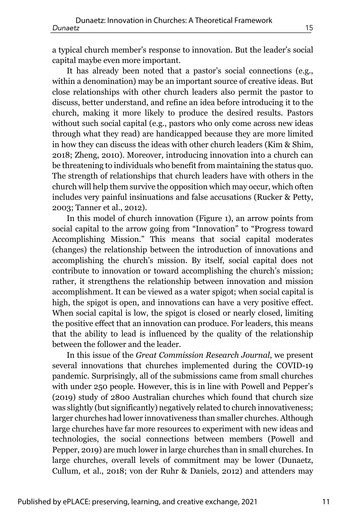a typical church member's response to innovation. But the leader's social capital maybe even more important.

It has already been noted that a pastor's social connections (e.g., within a denomination) may be an important source of creative ideas. But close relationships with other church leaders also permit the pastor to discuss, better understand, and refine an idea before introducing it to the church, making it more likely to produce the desired results. Pastors without such social capital (e.g., pastors who only come across new ideas through what they read) are handicapped because they are more limited in how they can discuss the ideas with other church leaders (Kim & Shim, 2018; Zheng, 2010). Moreover, introducing innovation into a church can be threatening to individuals who benefit from maintaining the status quo. The strength of relationships that church leaders have with others in the church will help them survive the opposition which may occur, which often includes very painful insinuations and false accusations (Rucker & Petty, 2003; Tanner et al., 2012).

In this model of church innovation (Figure 1), an arrow points from social capital to the arrow going from "Innovation" to "Progress toward Accomplishing Mission." This means that social capital moderates (changes) the relationship between the introduction of innovations and accomplishing the church's mission. By itself, social capital does not contribute to innovation or toward accomplishing the church's mission; rather, it strengthens the relationship between innovation and mission accomplishment. It can be viewed as a water spigot; when social capital is high, the spigot is open, and innovations can have a very positive effect. When social capital is low, the spigot is closed or nearly closed, limiting the positive effect that an innovation can produce. For leaders, this means that the ability to lead is influenced by the quality of the relationship between the follower and the leader.

In this issue of the *Great Commission Research Journal*, we present several innovations that churches implemented during the COVID-19 pandemic. Surprisingly, all of the submissions came from small churches with under 250 people. However, this is in line with Powell and Pepper's (2019) study of 2800 Australian churches which found that church size was slightly (but significantly) negatively related to church innovativeness; larger churches had lower innovativeness than smaller churches. Although large churches have far more resources to experiment with new ideas and technologies, the social connections between members (Powell and Pepper, 2019) are much lower in large churches than in small churches. In large churches, overall levels of commitment may be lower (Dunaetz, Cullum, et al., 2018; von der Ruhr & Daniels, 2012) and attenders may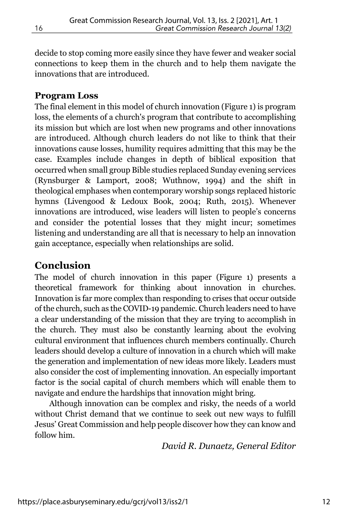decide to stop coming more easily since they have fewer and weaker social connections to keep them in the church and to help them navigate the innovations that are introduced.

#### **Program Loss**

The final element in this model of church innovation (Figure 1) is program loss, the elements of a church's program that contribute to accomplishing its mission but which are lost when new programs and other innovations are introduced. Although church leaders do not like to think that their innovations cause losses, humility requires admitting that this may be the case. Examples include changes in depth of biblical exposition that occurred when small group Bible studies replaced Sunday evening services (Rynsburger & Lamport, 2008; Wuthnow, 1994) and the shift in theological emphases when contemporary worship songs replaced historic hymns (Livengood & Ledoux Book, 2004; Ruth, 2015). Whenever innovations are introduced, wise leaders will listen to people's concerns and consider the potential losses that they might incur; sometimes listening and understanding are all that is necessary to help an innovation gain acceptance, especially when relationships are solid.

#### **Conclusion**

The model of church innovation in this paper (Figure 1) presents a theoretical framework for thinking about innovation in churches. Innovation is far more complex than responding to crises that occur outside of the church, such as the COVID-19 pandemic. Church leaders need to have a clear understanding of the mission that they are trying to accomplish in the church. They must also be constantly learning about the evolving cultural environment that influences church members continually. Church leaders should develop a culture of innovation in a church which will make the generation and implementation of new ideas more likely. Leaders must also consider the cost of implementing innovation. An especially important factor is the social capital of church members which will enable them to navigate and endure the hardships that innovation might bring.

Although innovation can be complex and risky, the needs of a world without Christ demand that we continue to seek out new ways to fulfill Jesus' Great Commission and help people discover how they can know and follow him.

*David R. Dunaetz, General Editor*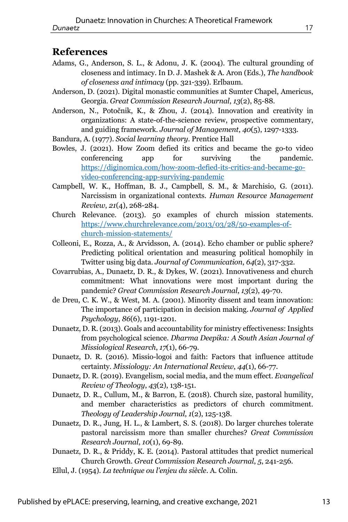#### **References**

- Adams, G., Anderson, S. L., & Adonu, J. K. (2004). The cultural grounding of closeness and intimacy. In D. J. Mashek & A. Aron (Eds.), *The handbook of closeness and intimacy* (pp. 321-339). Erlbaum.
- Anderson, D. (2021). Digital monastic communities at Sumter Chapel, Americus, Georgia. *Great Commission Research Journal*, *13*(2), 85-88.
- Anderson, N., Potočnik, K., & Zhou, J. (2014). Innovation and creativity in organizations: A state-of-the-science review, prospective commentary, and guiding framework. *Journal of Management*, *40*(5), 1297-1333.
- Bandura, A. (1977). *Social learning theory*. Prentice Hall
- Bowles, J. (2021). How Zoom defied its critics and became the go-to video conferencing app for surviving the pandemic. https://diginomica.com/how-zoom-defied-its-critics-and-became-govideo-conferencing-app-surviving-pandemic
- Campbell, W. K., Hoffman, B. J., Campbell, S. M., & Marchisio, G. (2011). Narcissism in organizational contexts. *Human Resource Management Review*, *21*(4), 268-284.
- Church Relevance. (2013). 50 examples of church mission statements. https://www.churchrelevance.com/2013/03/28/50-examples-ofchurch-mission-statements/
- Colleoni, E., Rozza, A., & Arvidsson, A. (2014). Echo chamber or public sphere? Predicting political orientation and measuring political homophily in Twitter using big data. *Journal of Communication*, *64*(2), 317-332.
- Covarrubias, A., Dunaetz, D. R., & Dykes, W. (2021). Innovativeness and church commitment: What innovations were most important during the pandemic? *Great Commission Research Journal*, *13*(2), 49-70.
- de Dreu, C. K. W., & West, M. A. (2001). Minority dissent and team innovation: The importance of participation in decision making. *Journal of Applied Psychology*, *86*(6), 1191-1201.
- Dunaetz, D. R. (2013). Goals and accountability for ministry effectiveness: Insights from psychological science. *Dharma Deepika: A South Asian Journal of Missiological Research*, *17*(1), 66-79.
- Dunaetz, D. R. (2016). Missio-logoi and faith: Factors that influence attitude certainty. *Missiology: An International Review*, *44*(1), 66-77.
- Dunaetz, D. R. (2019). Evangelism, social media, and the mum effect. *Evangelical Review of Theology*, *43*(2), 138-151.
- Dunaetz, D. R., Cullum, M., & Barron, E. (2018). Church size, pastoral humility, and member characteristics as predictors of church commitment. *Theology of Leadership Journal*, *1*(2), 125-138.
- Dunaetz, D. R., Jung, H. L., & Lambert, S. S. (2018). Do larger churches tolerate pastoral narcissism more than smaller churches? *Great Commission Research Journal*, *10*(1), 69-89.
- Dunaetz, D. R., & Priddy, K. E. (2014). Pastoral attitudes that predict numerical Church Growth. *Great Commission Research Journal*, *5*, 241-256.
- Ellul, J. (1954). *La technique ou l'enjeu du siècle*. A. Colin.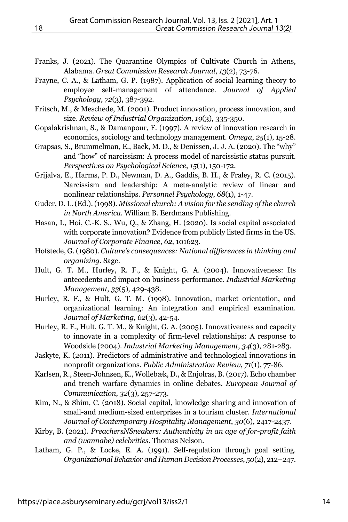- Franks, J. (2021). The Quarantine Olympics of Cultivate Church in Athens, Alabama. *Great Commission Research Journal*, *13*(2), 73-76.
- Frayne, C. A., & Latham, G. P. (1987). Application of social learning theory to employee self-management of attendance. *Journal of Applied Psychology*, *72*(3), 387-392.
- Fritsch, M., & Meschede, M. (2001). Product innovation, process innovation, and size. *Review of Industrial Organization*, *19*(3), 335-350.
- Gopalakrishnan, S., & Damanpour, F. (1997). A review of innovation research in economics, sociology and technology management. *Omega*, *25*(1), 15-28.
- Grapsas, S., Brummelman, E., Back, M. D., & Denissen, J. J. A. (2020). The "why" and "how" of narcissism: A process model of narcissistic status pursuit. *Perspectives on Psychological Science*, *15*(1), 150-172.
- Grijalva, E., Harms, P. D., Newman, D. A., Gaddis, B. H., & Fraley, R. C. (2015). Narcissism and leadership: A meta-analytic review of linear and nonlinear relationships. *Personnel Psychology*, *68*(1), 1-47.
- Guder, D. L. (Ed.). (1998). *Missional church: A vision for the sending of the church in North America*. William B. Eerdmans Publishing.
- Hasan, I., Hoi, C.-K. S., Wu, Q., & Zhang, H. (2020). Is social capital associated with corporate innovation? Evidence from publicly listed firms in the US. *Journal of Corporate Finance*, *62*, 101623.
- Hofstede, G. (1980). *Culture's consequences: National differences in thinking and organizing*. Sage.
- Hult, G. T. M., Hurley, R. F., & Knight, G. A. (2004). Innovativeness: Its antecedents and impact on business performance. *Industrial Marketing Management*, *33*(5), 429-438.
- Hurley, R. F., & Hult, G. T. M. (1998). Innovation, market orientation, and organizational learning: An integration and empirical examination. *Journal of Marketing*, *62*(3), 42-54.
- Hurley, R. F., Hult, G. T. M., & Knight, G. A. (2005). Innovativeness and capacity to innovate in a complexity of firm-level relationships: A response to Woodside (2004). *Industrial Marketing Management*, *34*(3), 281-283.
- Jaskyte, K. (2011). Predictors of administrative and technological innovations in nonprofit organizations. *Public Administration Review*, *71*(1), 77-86.
- Karlsen, R., Steen-Johnsen, K., Wollebæk, D., & Enjolras, B. (2017). Echo chamber and trench warfare dynamics in online debates. *European Journal of Communication*, *32*(3), 257-273.
- Kim, N., & Shim, C. (2018). Social capital, knowledge sharing and innovation of small-and medium-sized enterprises in a tourism cluster. *International Journal of Contemporary Hospitality Management*, *30*(6), 2417-2437.
- Kirby, B. (2021). *PreachersNSneakers: Authenticity in an age of for-profit faith and (wannabe) celebrities*. Thomas Nelson.
- Latham, G. P., & Locke, E. A. (1991). Self-regulation through goal setting. *Organizational Behavior and Human Decision Processes*, *50*(2), 212–247.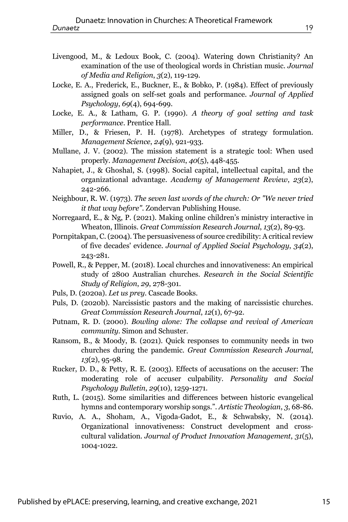- Livengood, M., & Ledoux Book, C. (2004). Watering down Christianity? An examination of the use of theological words in Christian music. *Journal of Media and Religion*, *3*(2), 119-129.
- Locke, E. A., Frederick, E., Buckner, E., & Bobko, P. (1984). Effect of previously assigned goals on self-set goals and performance. *Journal of Applied Psychology*, *69*(4), 694-699.
- Locke, E. A., & Latham, G. P. (1990). *A theory of goal setting and task performance*. Prentice Hall.
- Miller, D., & Friesen, P. H. (1978). Archetypes of strategy formulation. *Management Science*, *24*(9), 921-933.
- Mullane, J. V. (2002). The mission statement is a strategic tool: When used properly. *Management Decision*, *40*(5), 448-455.
- Nahapiet, J., & Ghoshal, S. (1998). Social capital, intellectual capital, and the organizational advantage. *Academy of Management Review*, *23*(2), 242-266.
- Neighbour, R. W. (1973). *The seven last words of the church: Or "We never tried it that way before"*. Zondervan Publishing House.
- Norregaard, E., & Ng, P. (2021). Making online children's ministry interactive in Wheaton, Illinois. *Great Commission Research Journal*, *13*(2), 89-93.
- Pornpitakpan, C. (2004). The persuasiveness of source credibility: A critical review of five decades' evidence. *Journal of Applied Social Psychology*, *34*(2), 243-281.
- Powell, R., & Pepper, M. (2018). Local churches and innovativeness: An empirical study of 2800 Australian churches. *Research in the Social Scientific Study of Religion*, *29*, 278-301.
- Puls, D. (2020a). *Let us prey*. Cascade Books.
- Puls, D. (2020b). Narcissistic pastors and the making of narcissistic churches. *Great Commission Research Journal*, *12*(1), 67-92.
- Putnam, R. D. (2000). *Bowling alone: The collapse and revival of American community*. Simon and Schuster.
- Ransom, B., & Moody, B. (2021). Quick responses to community needs in two churches during the pandemic. *Great Commission Research Journal*, *13*(2), 95-98.
- Rucker, D. D., & Petty, R. E. (2003). Effects of accusations on the accuser: The moderating role of accuser culpability. *Personality and Social Psychology Bulletin*, *29*(10), 1259-1271.
- Ruth, L. (2015). Some similarities and differences between historic evangelical hymns and contemporary worship songs.". *Artistic Theologian*, *3*, 68-86.
- Ruvio, A. A., Shoham, A., Vigoda-Gadot, E., & Schwabsky, N. (2014). Organizational innovativeness: Construct development and crosscultural validation. *Journal of Product Innovation Management*, *31*(5), 1004-1022.